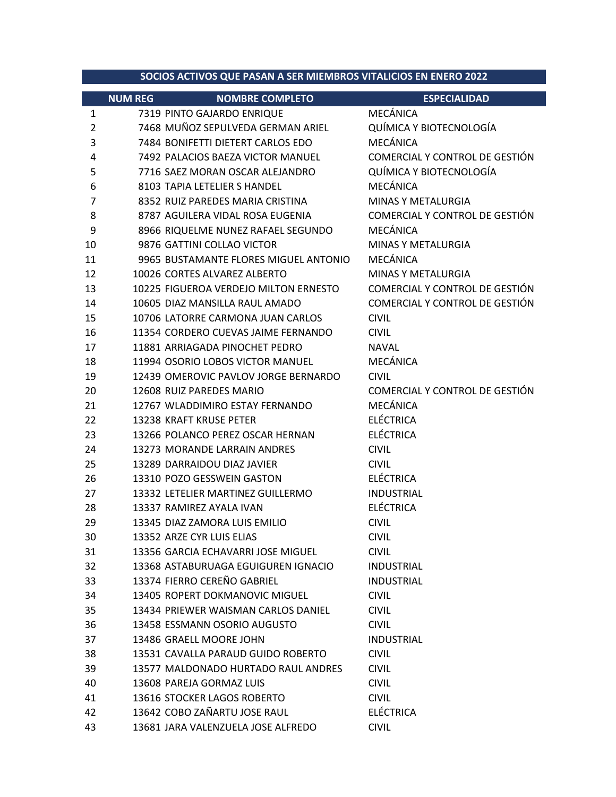|                | SOCIOS ACTIVOS QUE PASAN A SER MIEMBROS VITALICIOS EN ENERO 2022 |                                       |                                |  |  |  |
|----------------|------------------------------------------------------------------|---------------------------------------|--------------------------------|--|--|--|
|                | <b>NUM REG</b>                                                   | <b>NOMBRE COMPLETO</b>                | <b>ESPECIALIDAD</b>            |  |  |  |
| $\mathbf{1}$   |                                                                  | 7319 PINTO GAJARDO ENRIQUE            | MECÁNICA                       |  |  |  |
| $\overline{2}$ |                                                                  | 7468 MUÑOZ SEPULVEDA GERMAN ARIEL     | QUÍMICA Y BIOTECNOLOGÍA        |  |  |  |
| 3              |                                                                  | 7484 BONIFETTI DIETERT CARLOS EDO     | MECÁNICA                       |  |  |  |
| 4              |                                                                  | 7492 PALACIOS BAEZA VICTOR MANUEL     | COMERCIAL Y CONTROL DE GESTIÓN |  |  |  |
| 5              |                                                                  | 7716 SAEZ MORAN OSCAR ALEJANDRO       | QUÍMICA Y BIOTECNOLOGÍA        |  |  |  |
| 6              |                                                                  | 8103 TAPIA LETELIER S HANDEL          | MECÁNICA                       |  |  |  |
| 7              |                                                                  | 8352 RUIZ PAREDES MARIA CRISTINA      | <b>MINAS Y METALURGIA</b>      |  |  |  |
| 8              |                                                                  | 8787 AGUILERA VIDAL ROSA EUGENIA      | COMERCIAL Y CONTROL DE GESTIÓN |  |  |  |
| 9              |                                                                  | 8966 RIQUELME NUNEZ RAFAEL SEGUNDO    | MECÁNICA                       |  |  |  |
| 10             |                                                                  | 9876 GATTINI COLLAO VICTOR            | <b>MINAS Y METALURGIA</b>      |  |  |  |
| 11             |                                                                  | 9965 BUSTAMANTE FLORES MIGUEL ANTONIO | <b>MECÁNICA</b>                |  |  |  |
| 12             |                                                                  | 10026 CORTES ALVAREZ ALBERTO          | <b>MINAS Y METALURGIA</b>      |  |  |  |
| 13             |                                                                  | 10225 FIGUEROA VERDEJO MILTON ERNESTO | COMERCIAL Y CONTROL DE GESTIÓN |  |  |  |
| 14             |                                                                  | 10605 DIAZ MANSILLA RAUL AMADO        | COMERCIAL Y CONTROL DE GESTIÓN |  |  |  |
| 15             |                                                                  | 10706 LATORRE CARMONA JUAN CARLOS     | <b>CIVIL</b>                   |  |  |  |
| 16             |                                                                  | 11354 CORDERO CUEVAS JAIME FERNANDO   | <b>CIVIL</b>                   |  |  |  |
| 17             |                                                                  | 11881 ARRIAGADA PINOCHET PEDRO        | <b>NAVAL</b>                   |  |  |  |
| 18             |                                                                  | 11994 OSORIO LOBOS VICTOR MANUEL      | MECÁNICA                       |  |  |  |
| 19             |                                                                  | 12439 OMEROVIC PAVLOV JORGE BERNARDO  | <b>CIVIL</b>                   |  |  |  |
| 20             |                                                                  | 12608 RUIZ PAREDES MARIO              | COMERCIAL Y CONTROL DE GESTIÓN |  |  |  |
| 21             |                                                                  | 12767 WLADDIMIRO ESTAY FERNANDO       | MECÁNICA                       |  |  |  |
| 22             |                                                                  | 13238 KRAFT KRUSE PETER               | <b>ELÉCTRICA</b>               |  |  |  |
| 23             |                                                                  | 13266 POLANCO PEREZ OSCAR HERNAN      | <b>ELÉCTRICA</b>               |  |  |  |
| 24             |                                                                  | 13273 MORANDE LARRAIN ANDRES          | <b>CIVIL</b>                   |  |  |  |
| 25             |                                                                  | 13289 DARRAIDOU DIAZ JAVIER           | <b>CIVIL</b>                   |  |  |  |
| 26             |                                                                  | 13310 POZO GESSWEIN GASTON            | <b>ELÉCTRICA</b>               |  |  |  |
| 27             |                                                                  | 13332 LETELIER MARTINEZ GUILLERMO     | <b>INDUSTRIAL</b>              |  |  |  |
| 28             |                                                                  | 13337 RAMIREZ AYALA IVAN              | <b>ELÉCTRICA</b>               |  |  |  |
| 29             |                                                                  | 13345 DIAZ ZAMORA LUIS EMILIO         | <b>CIVIL</b>                   |  |  |  |
| 30             |                                                                  | 13352 ARZE CYR LUIS ELIAS             | <b>CIVIL</b>                   |  |  |  |
| 31             |                                                                  | 13356 GARCIA ECHAVARRI JOSE MIGUEL    | <b>CIVIL</b>                   |  |  |  |
| 32             |                                                                  | 13368 ASTABURUAGA EGUIGUREN IGNACIO   | <b>INDUSTRIAL</b>              |  |  |  |
| 33             |                                                                  | 13374 FIERRO CEREÑO GABRIEL           | <b>INDUSTRIAL</b>              |  |  |  |
| 34             |                                                                  | 13405 ROPERT DOKMANOVIC MIGUEL        | <b>CIVIL</b>                   |  |  |  |
| 35             |                                                                  | 13434 PRIEWER WAISMAN CARLOS DANIEL   | <b>CIVIL</b>                   |  |  |  |
| 36             |                                                                  | 13458 ESSMANN OSORIO AUGUSTO          | <b>CIVIL</b>                   |  |  |  |
| 37             |                                                                  | 13486 GRAELL MOORE JOHN               | <b>INDUSTRIAL</b>              |  |  |  |
| 38             |                                                                  | 13531 CAVALLA PARAUD GUIDO ROBERTO    | <b>CIVIL</b>                   |  |  |  |
| 39             |                                                                  | 13577 MALDONADO HURTADO RAUL ANDRES   | <b>CIVIL</b>                   |  |  |  |
| 40             |                                                                  | 13608 PAREJA GORMAZ LUIS              | <b>CIVIL</b>                   |  |  |  |
| 41             |                                                                  | 13616 STOCKER LAGOS ROBERTO           | <b>CIVIL</b>                   |  |  |  |
| 42             |                                                                  | 13642 COBO ZAÑARTU JOSE RAUL          | <b>ELÉCTRICA</b>               |  |  |  |
| 43             |                                                                  | 13681 JARA VALENZUELA JOSE ALFREDO    | <b>CIVIL</b>                   |  |  |  |